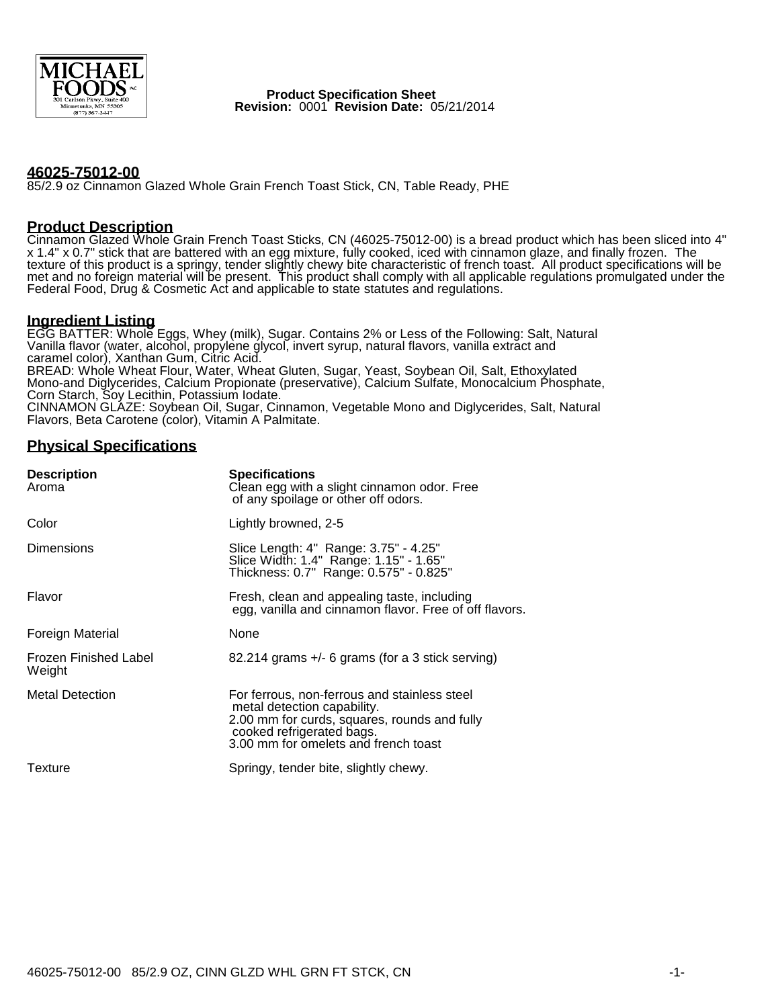

 **Product Specification Sheet Revision:** 0001 **Revision Date:** 05/21/2014

#### **46025-75012-00**

85/2.9 oz Cinnamon Glazed Whole Grain French Toast Stick, CN, Table Ready, PHE

#### **Product Description**

Cinnamon Glazed Whole Grain French Toast Sticks, CN (46025-75012-00) is a bread product which has been sliced into 4" x 1.4" x 0.7" stick that are battered with an egg mixture, fully cooked, iced with cinnamon glaze, and finally frozen. The texture of this product is a springy, tender slightly chewy bite characteristic of french toast. All product specifications will be met and no foreign material will be present. This product shall comply with all applicable regulations promulgated under the Federal Food, Drug & Cosmetic Act and applicable to state statutes and regulations.

#### **Ingredient Listing**

EGG BATTER: Whole Eggs, Whey (milk), Sugar. Contains 2% or Less of the Following: Salt, Natural Vanilla flavor (water, alcohol, propylene glycol, invert syrup, natural flavors, vanilla extract and caramel color), Xanthan Gum, Citric Acid. BREAD: Whole Wheat Flour, Water, Wheat Gluten, Sugar, Yeast, Soybean Oil, Salt, Ethoxylated Mono-and Diglycerides, Calcium Propionate (preservative), Calcium Sulfate, Monocalcium Phosphate, Corn Starch, Soy Lecithin, Potassium Iodate. CINNAMON GLAZE: Soybean Oil, Sugar, Cinnamon, Vegetable Mono and Diglycerides, Salt, Natural Flavors, Beta Carotene (color), Vitamin A Palmitate.

## **Physical Specifications**

| <b>Description</b><br>Aroma     | <b>Specifications</b><br>Clean egg with a slight cinnamon odor. Free<br>of any spoilage or other off odors.                                                                                      |  |  |
|---------------------------------|--------------------------------------------------------------------------------------------------------------------------------------------------------------------------------------------------|--|--|
| Color                           | Lightly browned, 2-5                                                                                                                                                                             |  |  |
| Dimensions                      | Slice Length: 4" Range: 3.75" - 4.25"<br>Slice Width: 1.4" Range: 1.15" - 1.65"<br>Thickness: 0.7" Range: 0.575" - 0.825"                                                                        |  |  |
| Flavor                          | Fresh, clean and appealing taste, including<br>egg, vanilla and cinnamon flavor. Free of off flavors.                                                                                            |  |  |
| Foreign Material                | None                                                                                                                                                                                             |  |  |
| Frozen Finished Label<br>Weight | $82.214$ grams $+/-$ 6 grams (for a 3 stick serving)                                                                                                                                             |  |  |
| <b>Metal Detection</b>          | For ferrous, non-ferrous and stainless steel<br>metal detection capability.<br>2.00 mm for curds, squares, rounds and fully<br>cooked refrigerated bags.<br>3.00 mm for omelets and french toast |  |  |
| Texture                         | Springy, tender bite, slightly chewy.                                                                                                                                                            |  |  |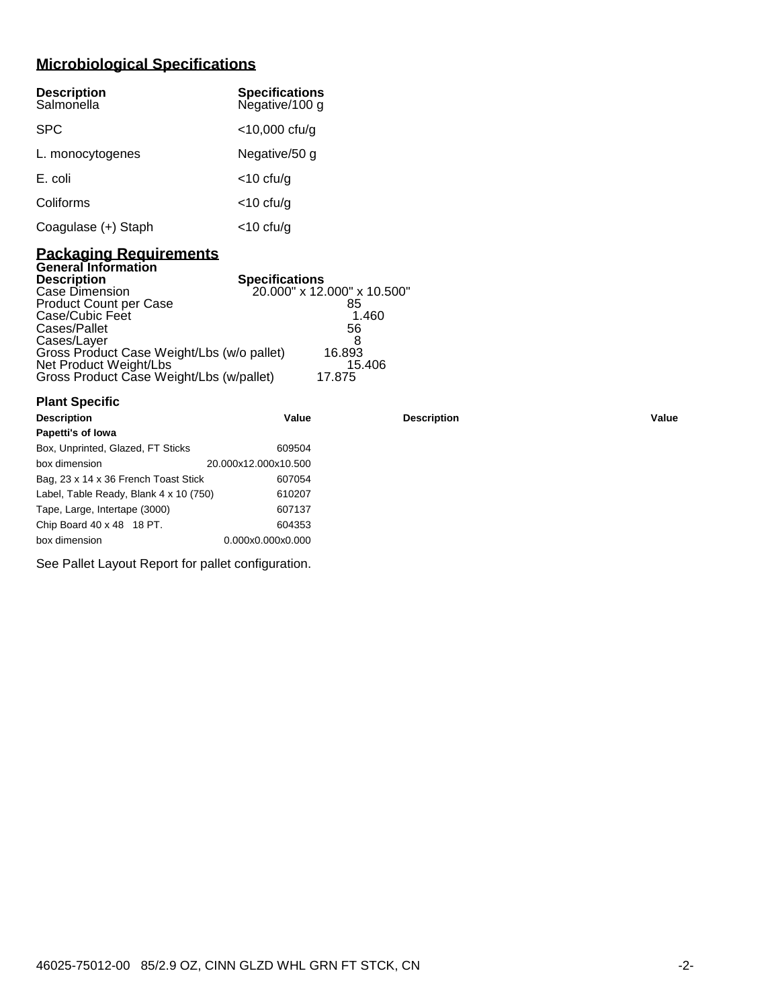# **Microbiological Specifications**

| <b>Description</b><br>Salmonella | <b>Specifications</b><br>Negative/100 g |
|----------------------------------|-----------------------------------------|
| <b>SPC</b>                       | $<$ 10,000 cfu/g                        |
| L. monocytogenes                 | Negative/50 g                           |
| E. coli                          | $<$ 10 cfu/g                            |
| Coliforms                        | $<$ 10 cfu/g                            |
| Coagulase (+) Staph              | $<$ 10 cfu/g                            |

#### **Packaging Requirements General Information**

| <b>Description</b>                         | <b>Specifications</b>       |
|--------------------------------------------|-----------------------------|
| Case Dimension                             | 20.000" x 12.000" x 10.500" |
| <b>Product Count per Case</b>              | 85                          |
| Case/Cubic Feet                            | 1.460                       |
| Cases/Pallet                               | 56                          |
| Cases/Layer                                |                             |
| Gross Product Case Weight/Lbs (w/o pallet) | 16.893                      |
| Net Product Weight/Lbs                     | 15.406                      |
| Gross Product Case Weight/Lbs (w/pallet)   | 17.875                      |

| <b>Plant Specific</b>                  |                      |                    |       |
|----------------------------------------|----------------------|--------------------|-------|
| <b>Description</b>                     | Value                | <b>Description</b> | Value |
| Papetti's of Iowa                      |                      |                    |       |
| Box, Unprinted, Glazed, FT Sticks      | 609504               |                    |       |
| box dimension                          | 20.000x12.000x10.500 |                    |       |
| Bag, 23 x 14 x 36 French Toast Stick   | 607054               |                    |       |
| Label, Table Ready, Blank 4 x 10 (750) | 610207               |                    |       |
| Tape, Large, Intertape (3000)          | 607137               |                    |       |
| Chip Board 40 x 48 18 PT.              | 604353               |                    |       |
| box dimension                          | 0.000x0.000x0.000    |                    |       |

See Pallet Layout Report for pallet configuration.